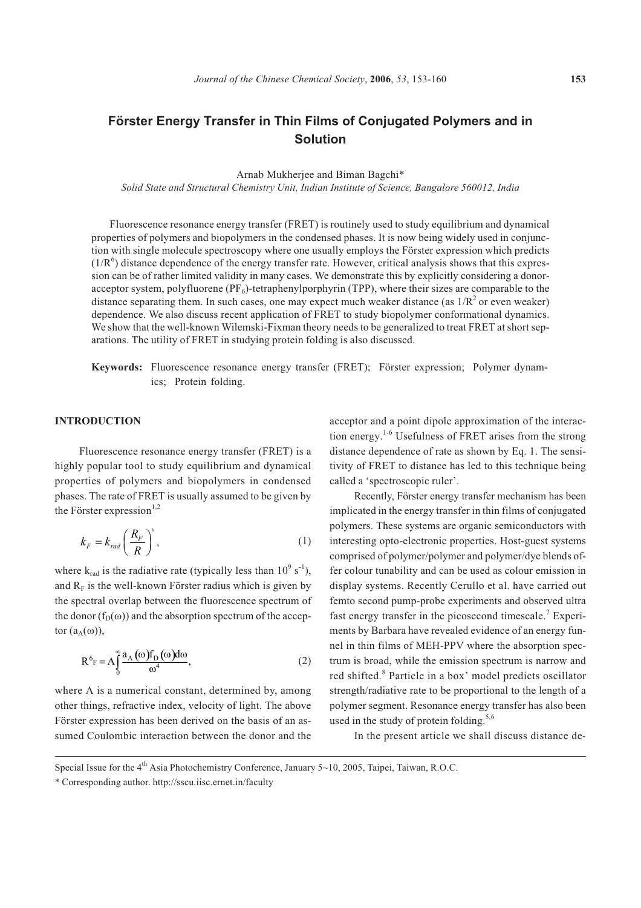# **Förster Energy Transfer in Thin Films of Conjugated Polymers and in Solution**

Arnab Mukherjee and Biman Bagchi\*

*Solid State and Structural Chemistry Unit, Indian Institute of Science, Bangalore 560012, India*

Fluorescence resonance energy transfer (FRET) is routinely used to study equilibrium and dynamical properties of polymers and biopolymers in the condensed phases. It is now being widely used in conjunction with single molecule spectroscopy where one usually employs the Förster expression which predicts  $(1/R<sup>6</sup>)$  distance dependence of the energy transfer rate. However, critical analysis shows that this expression can be of rather limited validity in many cases. We demonstrate this by explicitly considering a donoracceptor system, polyfluorene  $(PF_6)$ -tetraphenylporphyrin (TPP), where their sizes are comparable to the distance separating them. In such cases, one may expect much weaker distance (as  $1/R<sup>2</sup>$  or even weaker) dependence. We also discuss recent application of FRET to study biopolymer conformational dynamics. We show that the well-known Wilemski-Fixman theory needs to be generalized to treat FRET at short separations. The utility of FRET in studying protein folding is also discussed.

**Keywords:** Fluorescence resonance energy transfer (FRET); Förster expression; Polymer dynamics; Protein folding.

### **INTRODUCTION**

Fluorescence resonance energy transfer (FRET) is a highly popular tool to study equilibrium and dynamical properties of polymers and biopolymers in condensed phases. The rate of FRET is usually assumed to be given by the Förster expression $^{1,2}$ 

$$
k_F = k_{rad} \left(\frac{R_F}{R}\right)^6,\tag{1}
$$

where  $k_{rad}$  is the radiative rate (typically less than  $10^9$  s<sup>-1</sup>), and  $R_F$  is the well-known Förster radius which is given by the spectral overlap between the fluorescence spectrum of the donor  $(f_D(\omega))$  and the absorption spectrum of the acceptor  $(a_A(\omega))$ ,

$$
R^{6}F = A \int_{0}^{\infty} \frac{a_{A}(\omega)f_{D}(\omega)d\omega}{\omega^{4}},
$$
\n(2)

where A is a numerical constant, determined by, among other things, refractive index, velocity of light. The above Förster expression has been derived on the basis of an assumed Coulombic interaction between the donor and the acceptor and a point dipole approximation of the interaction energy.<sup>1-6</sup> Usefulness of FRET arises from the strong distance dependence of rate as shown by Eq. 1. The sensitivity of FRET to distance has led to this technique being called a 'spectroscopic ruler'.

Recently, Förster energy transfer mechanism has been implicated in the energy transfer in thin films of conjugated polymers. These systems are organic semiconductors with interesting opto-electronic properties. Host-guest systems comprised of polymer/polymer and polymer/dye blends offer colour tunability and can be used as colour emission in display systems. Recently Cerullo et al. have carried out femto second pump-probe experiments and observed ultra fast energy transfer in the picosecond timescale.<sup>7</sup> Experiments by Barbara have revealed evidence of an energy funnel in thin films of MEH-PPV where the absorption spectrum is broad, while the emission spectrum is narrow and red shifted.<sup>8</sup> Particle in a box' model predicts oscillator strength/radiative rate to be proportional to the length of a polymer segment. Resonance energy transfer has also been used in the study of protein folding.<sup>5,6</sup>

In the present article we shall discuss distance de-

Special Issue for the 4<sup>th</sup> Asia Photochemistry Conference, January 5~10, 2005, Taipei, Taiwan, R.O.C.

<sup>\*</sup> Corresponding author. http://sscu.iisc.ernet.in/faculty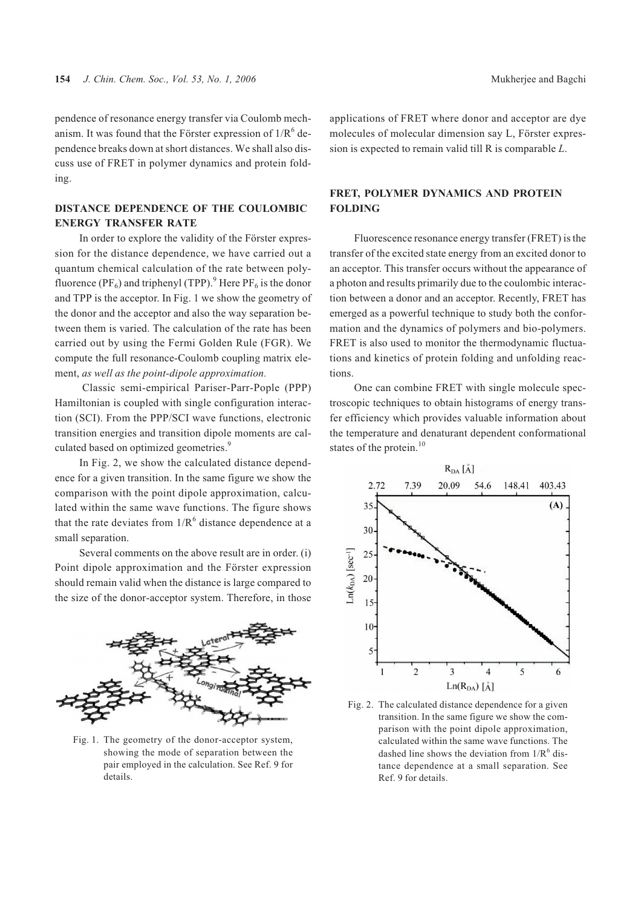pendence of resonance energy transfer via Coulomb mechanism. It was found that the Förster expression of  $1/R^6$  dependence breaks down at short distances. We shall also discuss use of FRET in polymer dynamics and protein folding.

### **DISTANCE DEPENDENCE OF THE COULOMBIC ENERGY TRANSFER RATE**

In order to explore the validity of the Förster expression for the distance dependence, we have carried out a quantum chemical calculation of the rate between polyfluorence (PF<sub>6</sub>) and triphenyl (TPP).<sup>9</sup> Here PF<sub>6</sub> is the donor and TPP is the acceptor. In Fig. 1 we show the geometry of the donor and the acceptor and also the way separation between them is varied. The calculation of the rate has been carried out by using the Fermi Golden Rule (FGR). We compute the full resonance-Coulomb coupling matrix element, *as well as the point-dipole approximation.*

Classic semi-empirical Pariser-Parr-Pople (PPP) Hamiltonian is coupled with single configuration interaction (SCI). From the PPP/SCI wave functions, electronic transition energies and transition dipole moments are calculated based on optimized geometries.<sup>9</sup>

In Fig. 2, we show the calculated distance dependence for a given transition. In the same figure we show the comparison with the point dipole approximation, calculated within the same wave functions. The figure shows that the rate deviates from  $1/R<sup>6</sup>$  distance dependence at a small separation.

Several comments on the above result are in order. (i) Point dipole approximation and the Förster expression should remain valid when the distance is large compared to the size of the donor-acceptor system. Therefore, in those



Fig. 1. The geometry of the donor-acceptor system, showing the mode of separation between the pair employed in the calculation. See Ref. 9 for details.

applications of FRET where donor and acceptor are dye molecules of molecular dimension say L, Förster expression is expected to remain valid till R is comparable *L*.

## **FRET, POLYMER DYNAMICS AND PROTEIN FOLDING**

Fluorescence resonance energy transfer (FRET) is the transfer of the excited state energy from an excited donor to an acceptor. This transfer occurs without the appearance of a photon and results primarily due to the coulombic interaction between a donor and an acceptor. Recently, FRET has emerged as a powerful technique to study both the conformation and the dynamics of polymers and bio-polymers. FRET is also used to monitor the thermodynamic fluctuations and kinetics of protein folding and unfolding reactions.

One can combine FRET with single molecule spectroscopic techniques to obtain histograms of energy transfer efficiency which provides valuable information about the temperature and denaturant dependent conformational states of the protein.<sup>10</sup>



Fig. 2. The calculated distance dependence for a given transition. In the same figure we show the comparison with the point dipole approximation, calculated within the same wave functions. The dashed line shows the deviation from  $1/R<sup>6</sup>$  distance dependence at a small separation. See Ref. 9 for details.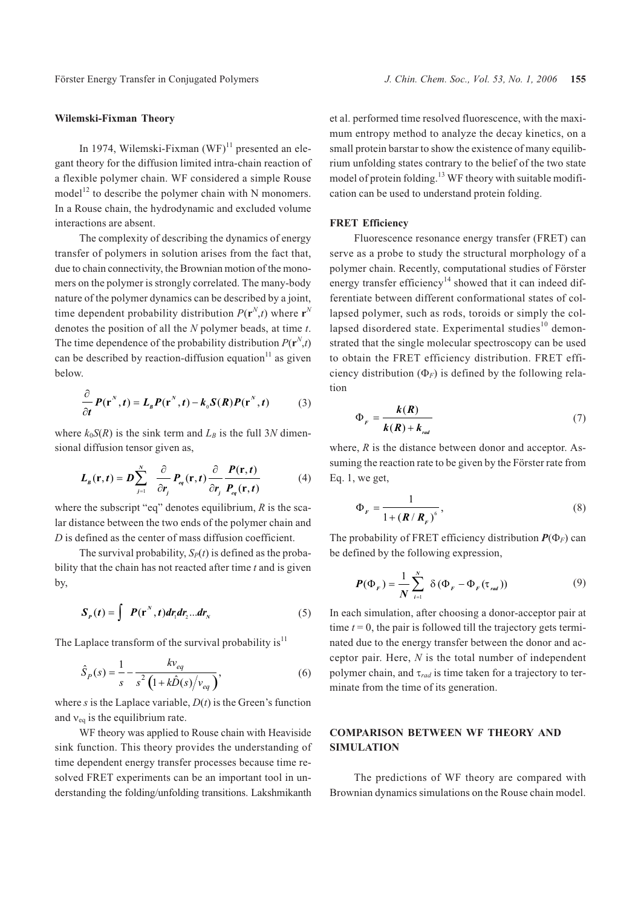### **Wilemski-Fixman Theory**

In 1974, Wilemski-Fixman  $(WF)^{11}$  presented an elegant theory for the diffusion limited intra-chain reaction of a flexible polymer chain. WF considered a simple Rouse model<sup>12</sup> to describe the polymer chain with N monomers. In a Rouse chain, the hydrodynamic and excluded volume interactions are absent.

The complexity of describing the dynamics of energy transfer of polymers in solution arises from the fact that, due to chain connectivity, the Brownian motion of the monomers on the polymer is strongly correlated. The many-body nature of the polymer dynamics can be described by a joint, time dependent probability distribution  $P(\mathbf{r}^N,t)$  where  $\mathbf{r}^N$ denotes the position of all the *N* polymer beads, at time *t*. The time dependence of the probability distribution  $P(\mathbf{r}^N,t)$ can be described by reaction-diffusion equation $11$  as given below.

$$
\frac{\partial}{\partial t} P(\mathbf{r}^N, t) = L_{B} P(\mathbf{r}^N, t) - k_{0} S(R) P(\mathbf{r}^N, t)
$$
(3)

where  $k_0S(R)$  is the sink term and  $L_B$  is the full 3*N* dimensional diffusion tensor given as,

$$
L_{B}(\mathbf{r},t) = D \sum_{j=1}^{N} \frac{\partial}{\partial r_{j}} P_{eq}(\mathbf{r},t) \frac{\partial}{\partial r_{j}} \frac{P(\mathbf{r},t)}{P_{eq}(\mathbf{r},t)}
$$
(4)

where the subscript "eq" denotes equilibrium, *R* is the scalar distance between the two ends of the polymer chain and *D* is defined as the center of mass diffusion coefficient.

The survival probability,  $S_p(t)$  is defined as the probability that the chain has not reacted after time *t* and is given by,

$$
S_p(t) = \int P(\mathbf{r}^N, t) dr_1 dr_2 ... dr_N
$$
 (5)

The Laplace transform of the survival probability is $11$ 

$$
\hat{S}_P(s) = \frac{1}{s} - \frac{k v_{eq}}{s^2 \left(1 + k \hat{D}(s) / v_{eq}\right)},
$$
\n(6)

where *s* is the Laplace variable, *D*(*t*) is the Green's function and  $v_{eq}$  is the equilibrium rate.

WF theory was applied to Rouse chain with Heaviside sink function. This theory provides the understanding of time dependent energy transfer processes because time resolved FRET experiments can be an important tool in understanding the folding/unfolding transitions. Lakshmikanth et al. performed time resolved fluorescence, with the maximum entropy method to analyze the decay kinetics, on a small protein barstar to show the existence of many equilibrium unfolding states contrary to the belief of the two state model of protein folding.<sup>13</sup> WF theory with suitable modification can be used to understand protein folding.

### **FRET Efficiency**

Fluorescence resonance energy transfer (FRET) can serve as a probe to study the structural morphology of a polymer chain. Recently, computational studies of Förster energy transfer efficiency<sup>14</sup> showed that it can indeed differentiate between different conformational states of collapsed polymer, such as rods, toroids or simply the collapsed disordered state. Experimental studies $10$  demonstrated that the single molecular spectroscopy can be used to obtain the FRET efficiency distribution. FRET efficiency distribution  $(\Phi_F)$  is defined by the following relation

$$
\Phi_F = \frac{k(R)}{k(R) + k_{rad}}\tag{7}
$$

where, *R* is the distance between donor and acceptor. Assuming the reaction rate to be given by the Förster rate from Eq. 1, we get,

$$
\Phi_F = \frac{1}{1 + \left(\mathbf{R}/\mathbf{R}_F\right)^6},\tag{8}
$$

The probability of FRET efficiency distribution  $P(\Phi_F)$  can be defined by the following expression,

$$
\boldsymbol{P}(\boldsymbol{\Phi}_F) = \frac{1}{N} \sum_{i=1}^{N} \delta(\boldsymbol{\Phi}_F - \boldsymbol{\Phi}_F(\boldsymbol{\tau}_{rad}))
$$
\n(9)

In each simulation, after choosing a donor-acceptor pair at time  $t = 0$ , the pair is followed till the trajectory gets terminated due to the energy transfer between the donor and acceptor pair. Here, *N* is the total number of independent polymer chain, and  $\tau_{rad}$  is time taken for a trajectory to terminate from the time of its generation.

# **COMPARISON BETWEEN WF THEORY AND SIMULATION**

The predictions of WF theory are compared with Brownian dynamics simulations on the Rouse chain model.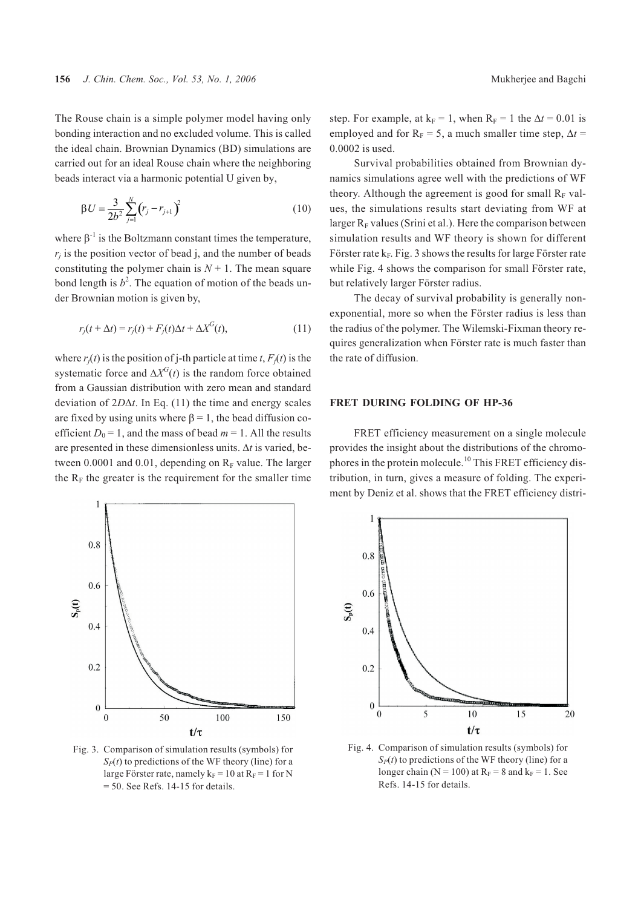The Rouse chain is a simple polymer model having only bonding interaction and no excluded volume. This is called the ideal chain. Brownian Dynamics (BD) simulations are carried out for an ideal Rouse chain where the neighboring beads interact via a harmonic potential U given by,

$$
\beta U = \frac{3}{2b^2} \sum_{j=1}^{N} (r_j - r_{j+1})^2
$$
\n(10)

where  $\beta^{-1}$  is the Boltzmann constant times the temperature,  $r_i$  is the position vector of bead j, and the number of beads constituting the polymer chain is  $N + 1$ . The mean square bond length is  $b^2$ . The equation of motion of the beads under Brownian motion is given by,

$$
r_j(t + \Delta t) = r_j(t) + F_j(t)\Delta t + \Delta X^G(t),\tag{11}
$$

where  $r_i(t)$  is the position of j-th particle at time  $t, F_i(t)$  is the systematic force and  $\Delta X^G(t)$  is the random force obtained from a Gaussian distribution with zero mean and standard deviation of  $2D\Delta t$ . In Eq. (11) the time and energy scales are fixed by using units where  $\beta = 1$ , the bead diffusion coefficient  $D_0 = 1$ , and the mass of bead  $m = 1$ . All the results are presented in these dimensionless units.  $\Delta t$  is varied, between 0.0001 and 0.01, depending on  $R_F$  value. The larger the  $R_F$  the greater is the requirement for the smaller time



Fig. 3. Comparison of simulation results (symbols) for  $S_P(t)$  to predictions of the WF theory (line) for a large Förster rate, namely  $k_F = 10$  at  $R_F = 1$  for N  $= 50$ . See Refs. 14-15 for details.

step. For example, at  $k_F = 1$ , when  $R_F = 1$  the  $\Delta t = 0.01$  is employed and for  $R_F = 5$ , a much smaller time step,  $\Delta t =$ 0.0002 is used.

Survival probabilities obtained from Brownian dynamics simulations agree well with the predictions of WF theory. Although the agreement is good for small  $R_F$  values, the simulations results start deviating from WF at larger  $R_F$  values (Srini et al.). Here the comparison between simulation results and WF theory is shown for different Förster rate  $k_F$ . Fig. 3 shows the results for large Förster rate while Fig. 4 shows the comparison for small Förster rate, but relatively larger Förster radius.

The decay of survival probability is generally nonexponential, more so when the Förster radius is less than the radius of the polymer. The Wilemski-Fixman theory requires generalization when Förster rate is much faster than the rate of diffusion.

#### **FRET DURING FOLDING OF HP-36**

FRET efficiency measurement on a single molecule provides the insight about the distributions of the chromophores in the protein molecule.<sup>10</sup> This FRET efficiency distribution, in turn, gives a measure of folding. The experiment by Deniz et al. shows that the FRET efficiency distri-



Fig. 4. Comparison of simulation results (symbols) for  $S_P(t)$  to predictions of the WF theory (line) for a longer chain ( $N = 100$ ) at  $R_F = 8$  and  $k_F = 1$ . See Refs. 14-15 for details.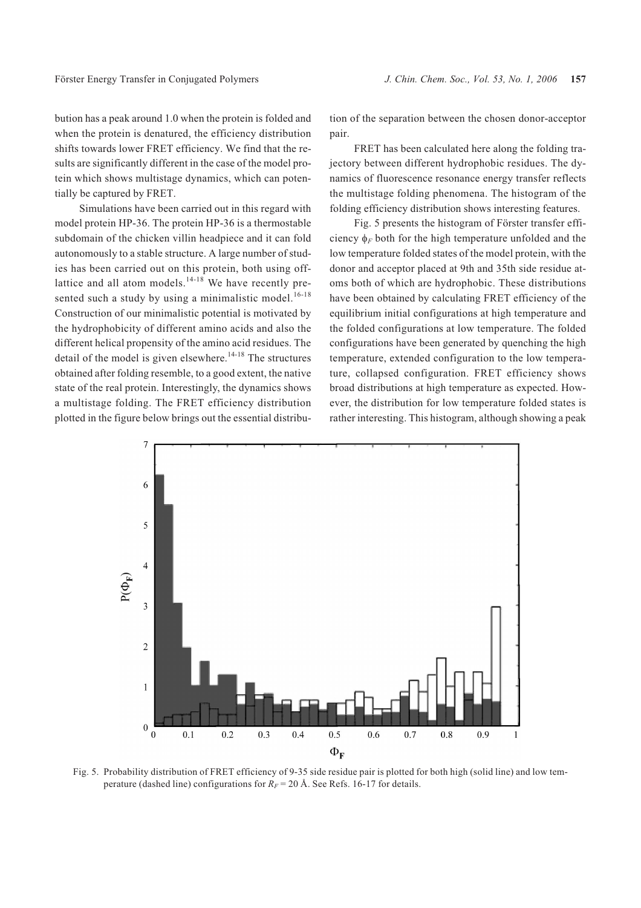bution has a peak around 1.0 when the protein is folded and when the protein is denatured, the efficiency distribution shifts towards lower FRET efficiency. We find that the results are significantly different in the case of the model protein which shows multistage dynamics, which can potentially be captured by FRET.

Simulations have been carried out in this regard with model protein HP-36. The protein HP-36 is a thermostable subdomain of the chicken villin headpiece and it can fold autonomously to a stable structure. A large number of studies has been carried out on this protein, both using offlattice and all atom models. $14-18$  We have recently presented such a study by using a minimalistic model.<sup>16-18</sup> Construction of our minimalistic potential is motivated by the hydrophobicity of different amino acids and also the different helical propensity of the amino acid residues. The detail of the model is given elsewhere.<sup>14-18</sup> The structures obtained after folding resemble, to a good extent, the native state of the real protein. Interestingly, the dynamics shows a multistage folding. The FRET efficiency distribution plotted in the figure below brings out the essential distribution of the separation between the chosen donor-acceptor pair.

FRET has been calculated here along the folding trajectory between different hydrophobic residues. The dynamics of fluorescence resonance energy transfer reflects the multistage folding phenomena. The histogram of the folding efficiency distribution shows interesting features.

Fig. 5 presents the histogram of Förster transfer efficiency  $\phi_F$  both for the high temperature unfolded and the low temperature folded states of the model protein, with the donor and acceptor placed at 9th and 35th side residue atoms both of which are hydrophobic. These distributions have been obtained by calculating FRET efficiency of the equilibrium initial configurations at high temperature and the folded configurations at low temperature. The folded configurations have been generated by quenching the high temperature, extended configuration to the low temperature, collapsed configuration. FRET efficiency shows broad distributions at high temperature as expected. However, the distribution for low temperature folded states is rather interesting. This histogram, although showing a peak



Fig. 5. Probability distribution of FRET efficiency of 9-35 side residue pair is plotted for both high (solid line) and low temperature (dashed line) configurations for  $R_F = 20$  Å. See Refs. 16-17 for details.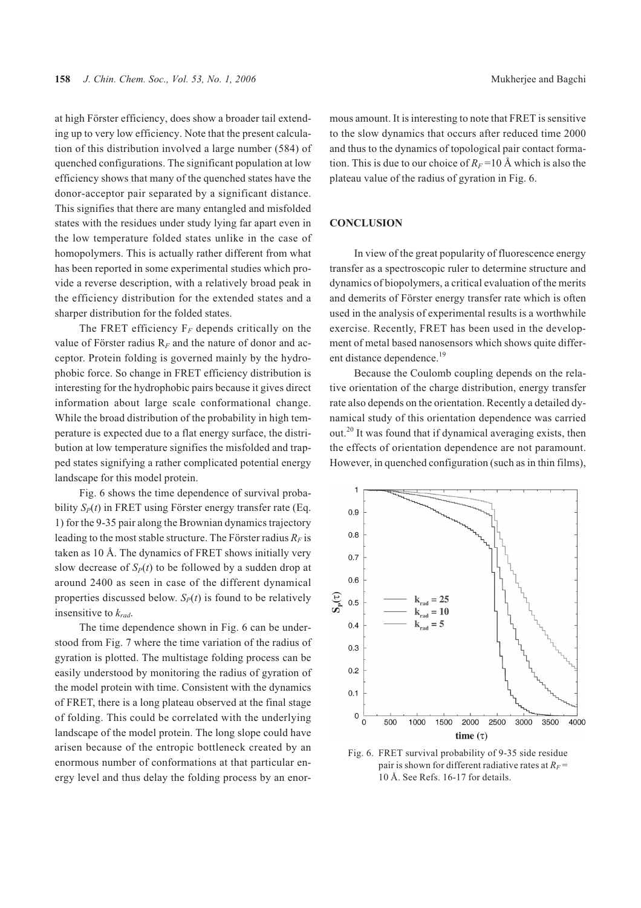at high Förster efficiency, does show a broader tail extending up to very low efficiency. Note that the present calculation of this distribution involved a large number (584) of quenched configurations. The significant population at low efficiency shows that many of the quenched states have the donor-acceptor pair separated by a significant distance. This signifies that there are many entangled and misfolded states with the residues under study lying far apart even in the low temperature folded states unlike in the case of homopolymers. This is actually rather different from what has been reported in some experimental studies which provide a reverse description, with a relatively broad peak in the efficiency distribution for the extended states and a sharper distribution for the folded states.

The FRET efficiency  $F_F$  depends critically on the value of Förster radius R*<sup>F</sup>* and the nature of donor and acceptor. Protein folding is governed mainly by the hydrophobic force. So change in FRET efficiency distribution is interesting for the hydrophobic pairs because it gives direct information about large scale conformational change. While the broad distribution of the probability in high temperature is expected due to a flat energy surface, the distribution at low temperature signifies the misfolded and trapped states signifying a rather complicated potential energy landscape for this model protein.

Fig. 6 shows the time dependence of survival probability  $S_p(t)$  in FRET using Förster energy transfer rate (Eq. 1) for the 9-35 pair along the Brownian dynamics trajectory leading to the most stable structure. The Förster radius  $R_F$  is taken as 10 Å. The dynamics of FRET shows initially very slow decrease of  $S_P(t)$  to be followed by a sudden drop at around 2400 as seen in case of the different dynamical properties discussed below.  $S_p(t)$  is found to be relatively insensitive to *krad*.

The time dependence shown in Fig. 6 can be understood from Fig. 7 where the time variation of the radius of gyration is plotted. The multistage folding process can be easily understood by monitoring the radius of gyration of the model protein with time. Consistent with the dynamics of FRET, there is a long plateau observed at the final stage of folding. This could be correlated with the underlying landscape of the model protein. The long slope could have arisen because of the entropic bottleneck created by an enormous number of conformations at that particular energy level and thus delay the folding process by an enormous amount. It is interesting to note that FRET is sensitive to the slow dynamics that occurs after reduced time 2000 and thus to the dynamics of topological pair contact formation. This is due to our choice of  $R_F$ =10 Å which is also the plateau value of the radius of gyration in Fig. 6.

#### **CONCLUSION**

In view of the great popularity of fluorescence energy transfer as a spectroscopic ruler to determine structure and dynamics of biopolymers, a critical evaluation of the merits and demerits of Förster energy transfer rate which is often used in the analysis of experimental results is a worthwhile exercise. Recently, FRET has been used in the development of metal based nanosensors which shows quite different distance dependence.<sup>19</sup>

Because the Coulomb coupling depends on the relative orientation of the charge distribution, energy transfer rate also depends on the orientation. Recently a detailed dynamical study of this orientation dependence was carried out.<sup>20</sup> It was found that if dynamical averaging exists, then the effects of orientation dependence are not paramount. However, in quenched configuration (such as in thin films),



Fig. 6. FRET survival probability of 9-35 side residue pair is shown for different radiative rates at  $R_F$  = 10 Å. See Refs. 16-17 for details.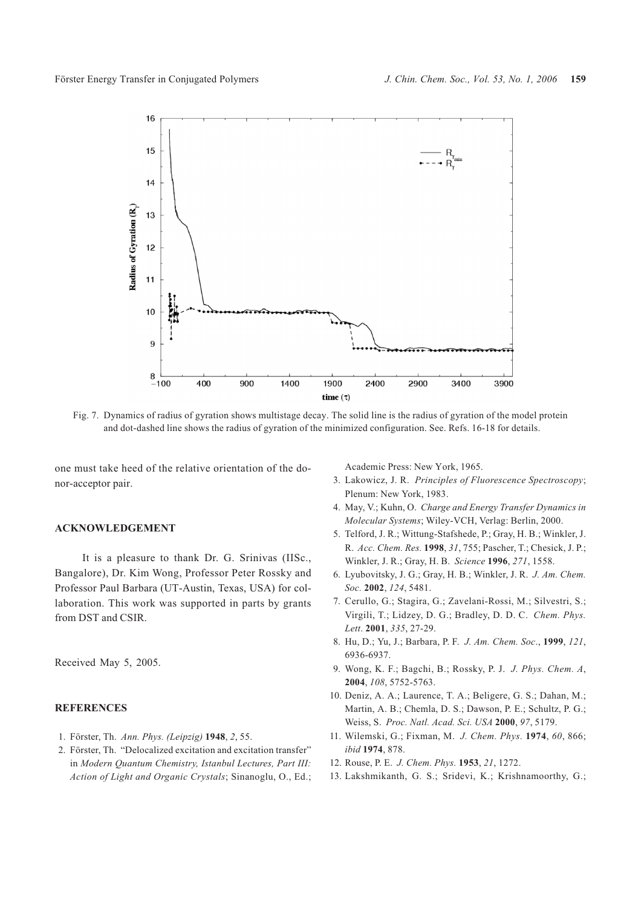

Fig. 7. Dynamics of radius of gyration shows multistage decay. The solid line is the radius of gyration of the model protein and dot-dashed line shows the radius of gyration of the minimized configuration. See. Refs. 16-18 for details.

one must take heed of the relative orientation of the donor-acceptor pair.

### **ACKNOWLEDGEMENT**

It is a pleasure to thank Dr. G. Srinivas (IISc., Bangalore), Dr. Kim Wong, Professor Peter Rossky and Professor Paul Barbara (UT-Austin, Texas, USA) for collaboration. This work was supported in parts by grants from DST and CSIR.

Received May 5, 2005.

### **REFERENCES**

- 1. Förster, Th. *Ann. Phys. (Leipzig)* **1948**, *2*, 55.
- 2. Förster, Th. "Delocalized excitation and excitation transfer" in *Modern Quantum Chemistry, Istanbul Lectures, Part III: Action of Light and Organic Crystals*; Sinanoglu, O., Ed.;

Academic Press: New York, 1965.

- 3. Lakowicz, J. R. *Principles of Fluorescence Spectroscopy*; Plenum: New York, 1983.
- 4. May, V.; Kuhn, O. *Charge and Energy Transfer Dynamics in Molecular Systems*; Wiley-VCH, Verlag: Berlin, 2000.
- 5. Telford, J. R.; Wittung-Stafshede, P.; Gray, H. B.; Winkler, J. R. *Acc. Chem. Res.* **1998**, *31*, 755; Pascher, T.; Chesick, J. P.; Winkler, J. R.; Gray, H. B. *Science* **1996**, *271*, 1558.
- 6. Lyubovitsky, J. G.; Gray, H. B.; Winkler, J. R. *J. Am. Chem. Soc.* **2002**, *124*, 5481.
- 7. Cerullo, G.; Stagira, G.; Zavelani-Rossi, M.; Silvestri, S.; Virgili, T.; Lidzey, D. G.; Bradley, D. D. C. *Chem. Phys. Lett*. **2001**, *335*, 27-29.
- 8. Hu, D.; Yu, J.; Barbara, P. F. *J. Am. Chem. Soc*., **1999**, *121*, 6936-6937.
- 9. Wong, K. F.; Bagchi, B.; Rossky, P. J. *J. Phys. Chem. A*, **2004**, *108*, 5752-5763.
- 10. Deniz, A. A.; Laurence, T. A.; Beligere, G. S.; Dahan, M.; Martin, A. B.; Chemla, D. S.; Dawson, P. E.; Schultz, P. G.; Weiss, S. *Proc. Natl. Acad. Sci. USA* **2000**, *97*, 5179.
- 11. Wilemski, G.; Fixman, M. *J. Chem. Phys.* **1974**, *60*, 866; *ibid* **1974**, 878.
- 12. Rouse, P. E. *J. Chem. Phys.* **1953**, *21*, 1272.
- 13. Lakshmikanth, G. S.; Sridevi, K.; Krishnamoorthy, G.;